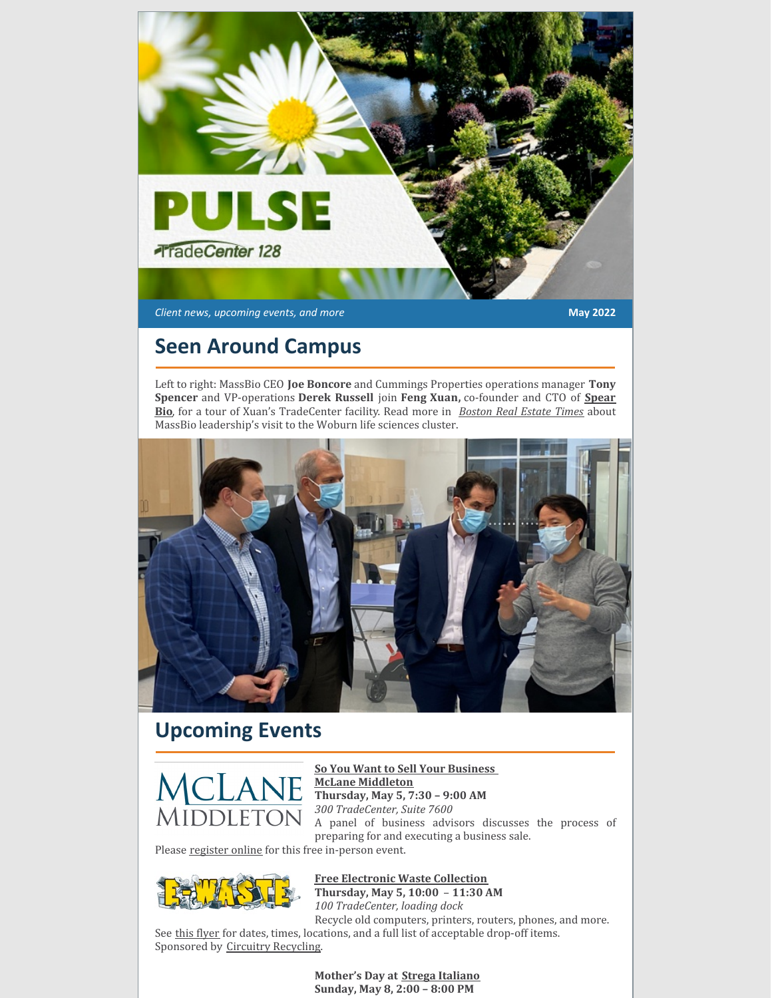

*Client news, upcoming events, and more* **May 2022**

### **Seen Around Campus**

Left to right: MassBio CEO **Joe Boncore** and Cummings Properties operations manager **Tony Spencer** and [VP-operations](https://www.spear.bio/) **Derek Russell** join **Feng Xuan,** co-founder and CTO of **Spear Bio**, for a tour of Xuan's TradeCenter facility. Read more in *[Boston](https://bostonrealestatetimes.com/massbio-leadership-team-visits-cummings-life-sciences-clusters/) Real Estate Times* about MassBio leadership's visit to the Woburn life sciences cluster.

![](_page_0_Picture_5.jpeg)

## **Upcoming Events**

![](_page_0_Picture_7.jpeg)

**So You Want to Sell Your [Business](https://www.mclane.com/event/so-you-want-to-sell-your-business-now-what/) McLane [Middleton](https://www.mclane.com/) Thursday, May 5, 7:30 – 9:00 AM** *300 TradeCenter, Suite 7600* A panel of business advisors discusses the process of preparing for and executing a business sale.

Please [register](https://events.r20.constantcontact.com/register/eventReg?oeidk=a07ej5d1nmf9cf08e37&oseq=&c=&ch=) online for this free in-person event.

![](_page_0_Picture_10.jpeg)

**Free [Electronic](https://www.cummings.com/fliers/e-waste_spring_2022.jpg) Waste Collection Thursday, May 5, 10:00** – **11:30 AM**

*100 TradeCenter, loading dock* Recycle old computers, printers, routers, phones, and more.

See this [flyer](https://www.cummings.com/fliers/e-waste_spring_2022.jpg) for dates, times, locations, and a full list of acceptable drop-off items. Sponsored by Circuitry [Recycling](http://www.circuitryrecycling.com/).

> **Mother's Day at Strega [Italiano](https://stregaitaliano.com/locations/woburn/) Sunday, May 8, 2:00 – 8:00 PM**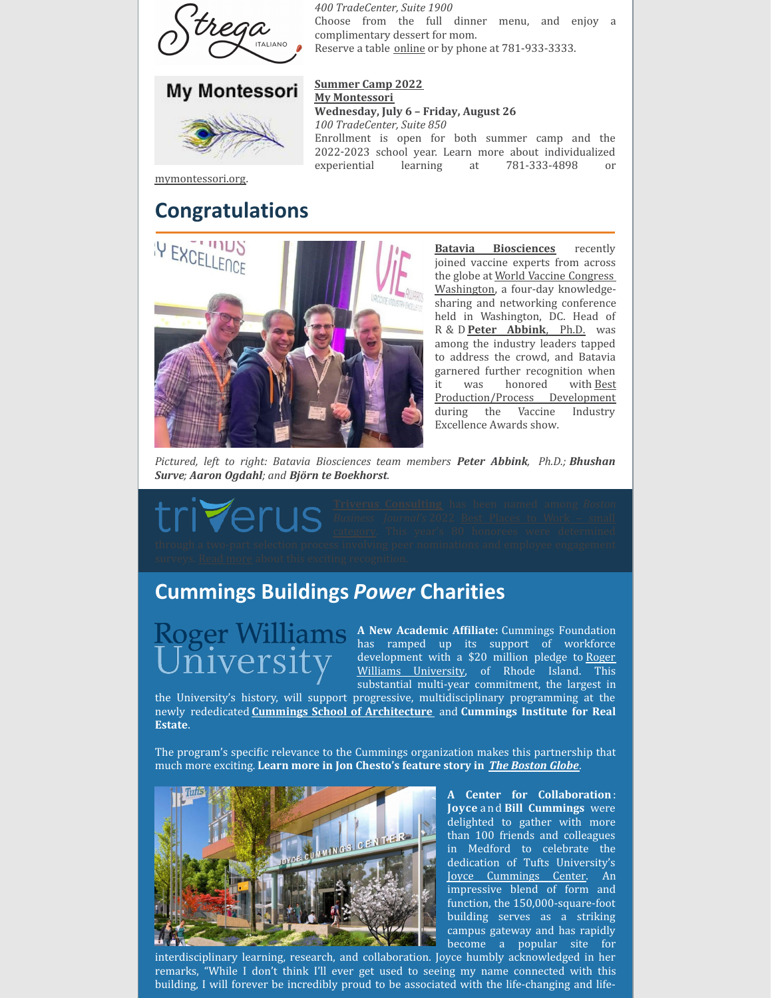![](_page_1_Picture_0.jpeg)

*400 TradeCenter, Suite 1900* Choose from the full dinner menu, and enjoy a complimentary dessert for mom. Reserve a table [online](https://stregaitaliano.com/locations/woburn/) or by phone at 781-933-3333.

![](_page_1_Picture_2.jpeg)

**[Summer](https://mymontessori.org/camp/) Camp 2022 My [Montessori](http://www.mymontessori.org/) Wednesday, July 6 – Friday, August 26** *100 TradeCenter, Suite 850* Enrollment is open for both summer camp and the 2022‑2023 school year. Learn more about individualized experiential learning at 781-333-4898 or

[mymontessori.org](https://mymontessori.org/).

#### **Congratulations**

![](_page_1_Picture_6.jpeg)

**Batavia [Biosciences](https://www.bataviabiosciences.com/)** recently joined vaccine experts from across the globe at World Vaccine Congress [Washington,](https://www.terrapinn.com/conference/world-vaccine-congress-washington/index.stm) a four-day knowledgesharing and networking conference held in Washington, DC. Head of R & D **Peter [Abbink](https://www.terrapinn.com/conference/world-vaccine-congress-washington/speaker-peter-ABBINK.stm)**, [Ph.D.](https://www.terrapinn.com/conference/world-vaccine-congress-washington/speaker-peter-ABBINK.stm) was among the industry leaders tapped to address the crowd, and Batavia garnered further recognition when it was honored with Best [Production/Process](https://www.bataviabiosciences.com/vie-award-best-process-development/) Development during the Vaccine Industry Excellence Awards show.

*Pictured, left to right: Batavia Biosciences team members Peter Abbink, Ph.D.; Bhushan Surve; Aaron Ogdahl; and Björn te Boekhorst.*

# **Cummings Buildings** *Power* **Charities**

# niversit

**A** New Academic Affiliate: Cummings Foundation has ramped up its support of workforce [development](https://www.rwu.edu/cummings-school) with a \$20 million pledge to Roger Williams University, of Rhode Island. This substantial multi-year commitment, the largest in

the University's history, will support progressive, multidisciplinary programming at the newly rededicated **Cummings School of [Architecture](https://www.cummingsfoundation.org/cummings-schools/index.html#architecture)** and **Cummings Institute for Real Estate**.

The program's specific relevance to the Cummings organization makes this partnership that much more exciting. **Learn more in Jon Chesto's feature story in** *The [Boston](https://www.bostonglobe.com/2022/04/06/business/cummings-foundation-pledges-20m-roger-williams-real-estate-school/?p1=BGSearch_Overlay_Results) Globe*.

![](_page_1_Picture_15.jpeg)

**A Center for Collaboration**: **Joyce** and **Bill Cummings** were delighted to gather with more than 100 friends and colleagues in Medford to celebrate the dedication of Tufts University's Joyce [Cummings](https://provost.tufts.edu/joyce-cummings-center/) Center. An impressive blend of form and function, the 150,000-square-foot building serves as a striking campus gateway and has rapidly become a popular site for

interdisciplinary learning, research, and collaboration. Joyce humbly acknowledged in her remarks, "While I don't think I'll ever get used to seeing my name connected with this building, I will forever be incredibly proud to be associated with the life-changing and life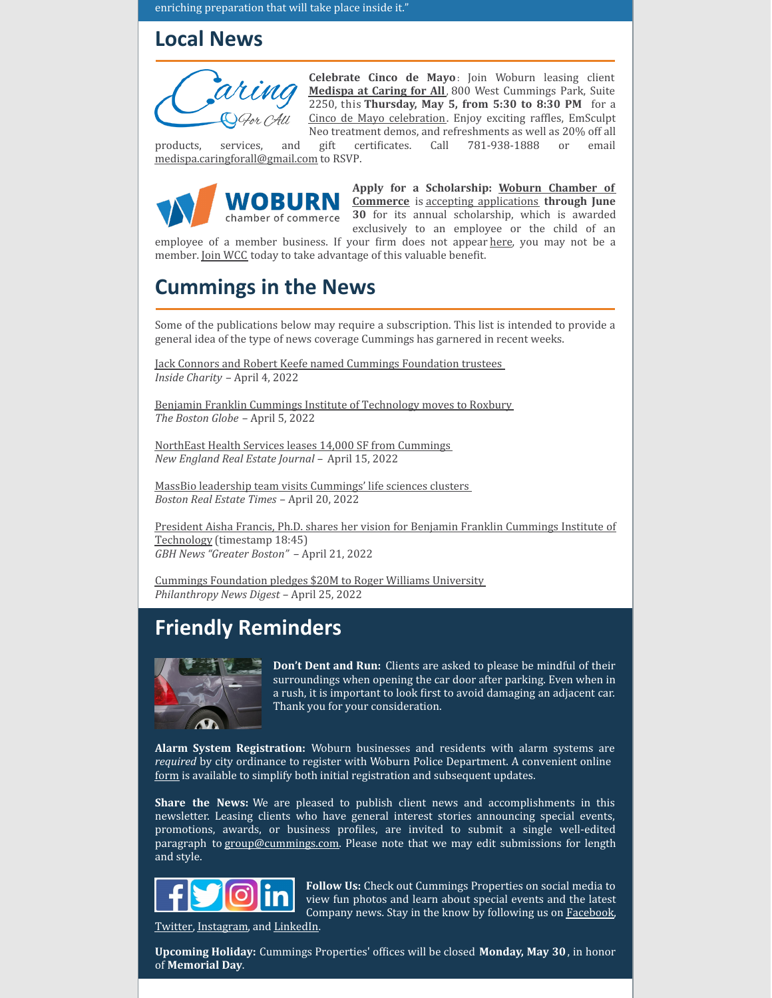enriching preparation that will take place inside it."

#### **Local News**

![](_page_2_Picture_2.jpeg)

**Celebrate Cinco de Mayo**: Join Woburn leasing client **[Medispa](http://woburnmedispa.com/) at Caring for All**, 800 West Cummings Park, Suite 2250, this **Thursday, May 5, from 5:30 to 8:30 PM** for a Cinco de Mayo [celebration](https://www.facebook.com/medispaatcaringforall/photos/a.1934762266542945/5458862277466242). Enjoy exciting raffles, EmSculpt Neo treatment demos, and refreshments as well as 20% off all

products, services, and gift certificates. Call 781-938-1888 or email [medispa.caringforall@gmail.com](mailto:medispa.caringforall@gmail.com) to RSVP.

![](_page_2_Picture_5.jpeg)

**Apply for a [Scholarship:](https://www.woburnchamber.org/) Woburn Chamber of Commerce** is accepting [applications](https://www.woburnchamber.org/woburn-business-association-scholarship/?mc_cid=746db9a7c6&mc_eid=894d3b4f5d) **through June 30** for its annual scholarship, which is awarded exclusively to an employee or the child of an

employee of a member business. If your firm does not appear [here](https://www.woburnchamber.org/members/#!directory), you may not be a member. Join [WCC](https://www.woburnchamber.org/get-involved/join/#account/join) today to take advantage of this valuable benefit.

# **Cummings in the News**

Some of the publications below may require a subscription. This list is intended to provide a general idea of the type of news coverage Cummings has garnered in recent weeks.

Jack Connors and Robert Keefe named Cummings [Foundation](https://insidecharity.org/2022/04/03/jack-connors-robert-keefe-named-cummings-foundation-trustees/) trustees *Inside Charity* – April 4, 2022

Benjamin Franklin Cummings Institute of [Technology](https://www.bostonglobe.com/2022/04/05/metro/move-benjamin-franklin-institute-reflects-broader-change-nubian-square/?event=event25) moves to Roxbury *The Boston Globe* – April 5, 2022

NorthEast Health Services leases 14,000 SF from [Cummings](https://nerej.com/northeast-health-services-leases-14-000-s-f-from-cummings-props) *New England Real Estate Journal –* April 15, 2022

MassBio leadership team visits [Cummings'](https://bostonrealestatetimes.com/massbio-leadership-team-visits-cummings-life-sciences-clusters/) life sciences clusters *Boston Real Estate Times* – April 20, 2022

President Aisha Francis, Ph.D. shares her vision for Benjamin Franklin Cummings Institute of Technology [\(timestamp](https://www.youtube.com/watch?v=kwI9rDG8t7c) 18:45) *GBH News "Greater Boston"* – April 21, 2022

Cummings [Foundation](https://philanthropynewsdigest.org/news/cummings-foundation-pledges-20-million-to-roger-williams-university) pledges \$20M to Roger Williams University *Philanthropy News Digest* – April 25, 2022

# **Friendly Reminders**

![](_page_2_Picture_17.jpeg)

**Don't Dent and Run:** Clients are asked to please be mindful of their surroundings when opening the car door after parking. Even when in a rush, it is important to look first to avoid damaging an adjacent car. Thank you for your consideration.

**Alarm System Registration:** Woburn businesses and residents with alarm systems are *required* by city ordinance to register with Woburn Police Department. A convenient online [form](https://www.woburnma.gov/government/police/alarm-systems-registration/) is available to simplify both initial registration and subsequent updates.

**Share the News:** We are pleased to publish client news and accomplishments in this newsletter. Leasing clients who have general interest stories announcing special events, promotions, awards, or business profiles, are invited to submit a single well-edited paragraph to [group@cummings.com](mailto:group@cummings.com). Please note that we may edit submissions for length and style.

![](_page_2_Picture_21.jpeg)

**Follow Us:** Check out Cummings Properties on social media to view fun photos and learn about special events and the latest Company news. Stay in the know by following us on **[Facebook](https://www.facebook.com/cummingsproperties/)**,

[Twitter,](https://twitter.com/cummingsdotcom) [Instagram](https://www.instagram.com/cummingsproperties/), and [LinkedIn](https://www.linkedin.com/company/cummings-properties).

**Upcoming Holiday:** Cummings Properties' offices will be closed **Monday, May 30**, in honor of **Memorial Day**.